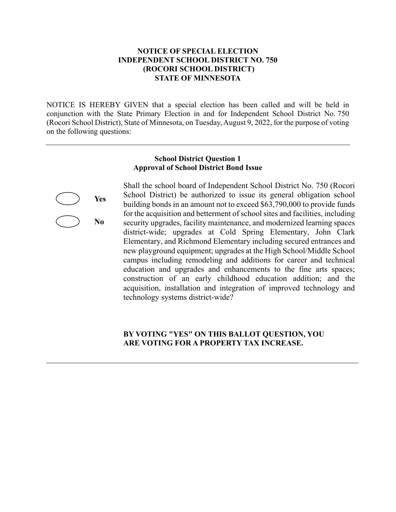## **NOTICE OF SPECIAL ELECTION INDEPENDENT SCHOOL DISTRICT NO. 750 (ROCORI SCHOOL DISTRICT) STATE OF MINNESOTA**

NOTICE IS HEREBY GIVEN that a special election has been called and will be held in conjunction with the State Primary Election in and for Independent School District No. 750 (Rocori School District), State of Minnesota, on Tuesday, August 9, 2022, for the purpose of voting on the following questions:

#### **School District Question 1 Approval of School District Bond Issue**

**Yes** 

**No** 

Shall the school board of Independent School District No. 750 (Rocori School District) be authorized to issue its general obligation school building bonds in an amount not to exceed \$63,790,000 to provide funds for the acquisition and betterment of school sites and facilities, including security upgrades, facility maintenance, and modernized learning spaces district-wide; upgrades at Cold Spring Elementary, John Clark Elementary, and Richmond Elementary including secured entrances and new playground equipment; upgrades at the High School/Middle School campus including remodeling and additions for career and technical education and upgrades and enhancements to the fine arts spaces; construction of an early childhood education addition; and the acquisition, installation and integration of improved technology and technology systems district-wide?

## **BY VOTING "YES" ON THIS BALLOT QUESTION, YOU ARE VOTING FOR A PROPERTY TAX INCREASE.**